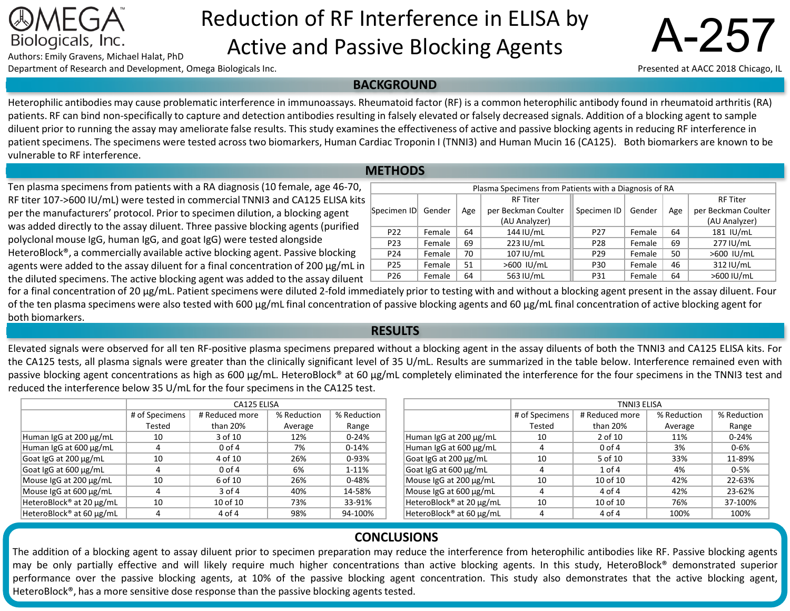# Reduction of RF Interference in ELISA by Biologicals, Inc.<br>Authors: Emily Gravens, Michael Halat, PhD<br>**Active and Passive Blocking Agents**

Department of Research and Development, Omega Biologicals Inc.

**BACKGROUND** 

Heterophilic antibodies may cause problematic interference in immunoassays. Rheumatoid factor (RF) is a common heterophilic antibody found in rheumatoid arthritis (RA) patients. RF can bind non-specifically to capture and detection antibodies resulting in falsely elevated or falsely decreased signals. Addition of a blocking agent to sample diluent prior to running the assay may ameliorate false results. This study examines the effectiveness of active and passive blocking agents in reducing RF interference in patient specimens. The specimens were tested across two biomarkers, Human Cardiac Troponin I (TNNI3) and Human Mucin 16 (CA125). Both biomarkers are known to be vulnerable to RF interference.

#### **ME**

Ten plasma specimens from patients with a RA diagnosis (10 female, age 46-70, RF titer 107->600 IU/mL) were tested in commercial TNNI3 and CA125 ELISA kits per the manufacturers' protocol. Prior to specimen dilution, a blocking agent was added directly to the assay diluent. Three passive blocking agents (purified polyclonal mouse IgG, human IgG, and goat IgG) were tested alongside HeteroBlock®, a commercially available active blocking agent. Passive blocking agents were added to the assay diluent for a final concentration of 200  $\mu$ g/mL in the diluted specimens. The active blocking agent was added to the assay diluent

| the unuted specificity. The active biocking agent was added to the assay unuent                                                                                                |
|--------------------------------------------------------------------------------------------------------------------------------------------------------------------------------|
| for a final concentration of 20 µg/mL. Patient specimens were diluted 2-fold immediately prior to testing with and without a blocking agent present in the assay diluent. Four |
| of the ten plasma specimens were also tested with 600 µg/mL final concentration of passive blocking agents and 60 µg/mL final concentration of active blocking agent for       |
| both biomarkers.                                                                                                                                                               |

### **RESULTS**

Elevated signals were observed for all ten RF-positive plasma specimens prepared without a blocking agent in the assay diluents of both the TNNI3 and CA125 ELISA kits. For the CA125 tests, all plasma signals were greater than the clinically significant level of 35 U/mL. Results are summarized in the table below. Interference remained even with passive blocking agent concentrations as high as 600 µg/mL. HeteroBlock® at 60 µg/mL completely eliminated the interference for the four specimens in the TNNI3 test and reduced the interference below 35 U/mL for the four specimensin the CA125 test.

|                          | CA125 ELISA                                     |          |         |             |  |
|--------------------------|-------------------------------------------------|----------|---------|-------------|--|
|                          | # Reduced more<br># of Specimens<br>% Reduction |          |         | % Reduction |  |
|                          | Tested                                          | than 20% | Average | Range       |  |
| Human IgG at 200 µg/mL   | 10                                              | 3 of 10  | 12%     | $0 - 24%$   |  |
| Human IgG at 600 µg/mL   | 4                                               | $0$ of 4 | 7%      | $0-14%$     |  |
| Goat IgG at 200 µg/mL    | 10                                              | 4 of 10  | 26%     | 0-93%       |  |
| Goat IgG at 600 µg/mL    | 4                                               | $0$ of 4 | 6%      | 1-11%       |  |
| Mouse IgG at 200 µg/mL   | 10                                              | 6 of 10  | 26%     | $0 - 48%$   |  |
| Mouse IgG at 600 µg/mL   | 4                                               | 3 of 4   | 40%     | 14-58%      |  |
| HeteroBlock® at 20 µg/mL | 10                                              | 10 of 10 | 73%     | 33-91%      |  |
| HeteroBlock® at 60 µg/mL | 4                                               | 4 of 4   | 98%     | 94-100%     |  |

|                                      | TNNI3 ELISA                                     |            |             |           |  |
|--------------------------------------|-------------------------------------------------|------------|-------------|-----------|--|
|                                      | # of Specimens<br># Reduced more<br>% Reduction |            | % Reduction |           |  |
|                                      | Tested                                          | than $20%$ | Average     | Range     |  |
| Human IgG at 200 µg/mL               | 10                                              | 2 of 10    | 11%         | $0 - 24%$ |  |
| Human IgG at 600 µg/mL               | 4                                               | $0$ of 4   | 3%          | $0 - 6%$  |  |
| Goat IgG at 200 µg/mL                | 10                                              | 5 of 10    | 33%         | 11-89%    |  |
| Goat IgG at 600 µg/mL                | 4                                               | $1$ of $4$ | 4%          | $0 - 5%$  |  |
| Mouse IgG at 200 µg/mL               | 10                                              | 10 of 10   | 42%         | 22-63%    |  |
| Mouse IgG at 600 µg/mL               | 4                                               | 4 of 4     | 42%         | 23-62%    |  |
| HeteroBlock® at 20 µg/mL             | 10                                              | 10 of 10   | 76%         | 37-100%   |  |
| HeteroBlock <sup>®</sup> at 60 µg/mL | 4                                               | 4 of 4     | 100%        | 100%      |  |

## **CONCLUSIONS**

The addition of a blocking agent to assay diluent prior to specimen preparation may reduce the interference from heterophilic antibodies like RF. Passive blocking agents may be only partially effective and will likely require much higher concentrations than active blocking agents. In this study, HeteroBlock® demonstrated superior performance over the passive blocking agents, at 10% of the passive blocking agent concentration. This study also demonstrates that the active blocking agent, HeteroBlock®, has a more sensitive dose response than the passive blocking agents tested.

| <b>AETHODS</b>                                        |        |     |                     |                 |        |     |                     |  |
|-------------------------------------------------------|--------|-----|---------------------|-----------------|--------|-----|---------------------|--|
| Plasma Specimens from Patients with a Diagnosis of RA |        |     |                     |                 |        |     |                     |  |
|                                                       |        |     | <b>RF Titer</b>     |                 |        |     | <b>RF Titer</b>     |  |
| Specimen ID                                           | Gender | Age | per Beckman Coulter | Specimen ID     | Gender | Age | per Beckman Coulter |  |
|                                                       |        |     | (AU Analyzer)       |                 |        |     | (AU Analyzer)       |  |
| P <sub>22</sub>                                       | Female | 64  | 144 IU/mL           | P <sub>27</sub> | Female | 64  | 181 IU/mL           |  |
| P <sub>23</sub>                                       | Female | 69  | 223 IU/mL           | P <sub>28</sub> | Female | 69  | 277 IU/mL           |  |
| P <sub>24</sub>                                       | Female | 70  | 107 IU/mL           | P <sub>29</sub> | Female | 50  | >600 IU/mL          |  |
| P <sub>25</sub>                                       | Female | 51  | >600 IU/mL          | P30             | Female | 46  | 312 IU/mL           |  |
| P <sub>26</sub>                                       | Female | 64  | 563 IU/mL           | P31             | Female | 64  | >600 IU/mL          |  |

Presented at AACC 2018 Chicago, IL

A-257